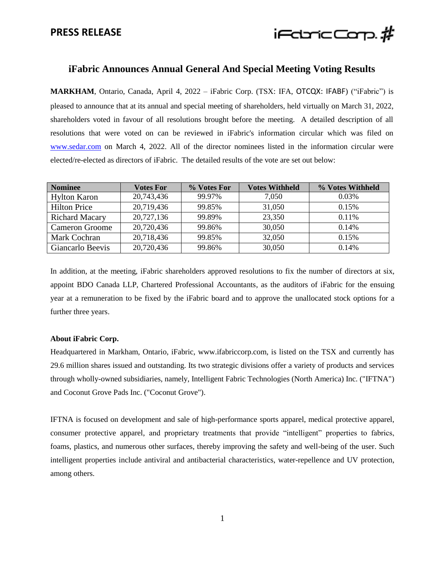## **PRESS RELEASE**



## **iFabric Announces Annual General And Special Meeting Voting Results**

**MARKHAM**, Ontario, Canada, April 4, 2022 – iFabric Corp. (TSX: IFA, OTCQX: IFABF) ("iFabric") is pleased to announce that at its annual and special meeting of shareholders, held virtually on March 31, 2022, shareholders voted in favour of all resolutions brought before the meeting. A detailed description of all resolutions that were voted on can be reviewed in iFabric's information circular which was filed on [www.sedar.com](http://www.sedar.com/) on March 4, 2022. All of the director nominees listed in the information circular were elected/re-elected as directors of iFabric. The detailed results of the vote are set out below:

| <b>Nominee</b>        | Votes For  | % Votes For | <b>Votes Withheld</b> | % Votes Withheld |
|-----------------------|------------|-------------|-----------------------|------------------|
| <b>Hylton Karon</b>   | 20,743,436 | 99.97%      | 7.050                 | $0.03\%$         |
| <b>Hilton Price</b>   | 20,719,436 | 99.85%      | 31,050                | 0.15%            |
| <b>Richard Macary</b> | 20,727,136 | 99.89%      | 23,350                | $0.11\%$         |
| <b>Cameron Groome</b> | 20,720,436 | 99.86%      | 30,050                | 0.14%            |
| Mark Cochran          | 20,718,436 | 99.85%      | 32,050                | 0.15%            |
| Giancarlo Beevis      | 20,720,436 | 99.86%      | 30,050                | 0.14%            |

In addition, at the meeting, iFabric shareholders approved resolutions to fix the number of directors at six, appoint BDO Canada LLP, Chartered Professional Accountants, as the auditors of iFabric for the ensuing year at a remuneration to be fixed by the iFabric board and to approve the unallocated stock options for a further three years.

## **About iFabric Corp.**

Headquartered in Markham, Ontario, iFabric, www.ifabriccorp.com, is listed on the TSX and currently has 29.6 million shares issued and outstanding. Its two strategic divisions offer a variety of products and services through wholly-owned subsidiaries, namely, Intelligent Fabric Technologies (North America) Inc. ("IFTNA") and Coconut Grove Pads Inc. ("Coconut Grove").

IFTNA is focused on development and sale of high-performance sports apparel, medical protective apparel, consumer protective apparel, and proprietary treatments that provide "intelligent" properties to fabrics, foams, plastics, and numerous other surfaces, thereby improving the safety and well-being of the user. Such intelligent properties include antiviral and antibacterial characteristics, water-repellence and UV protection, among others.